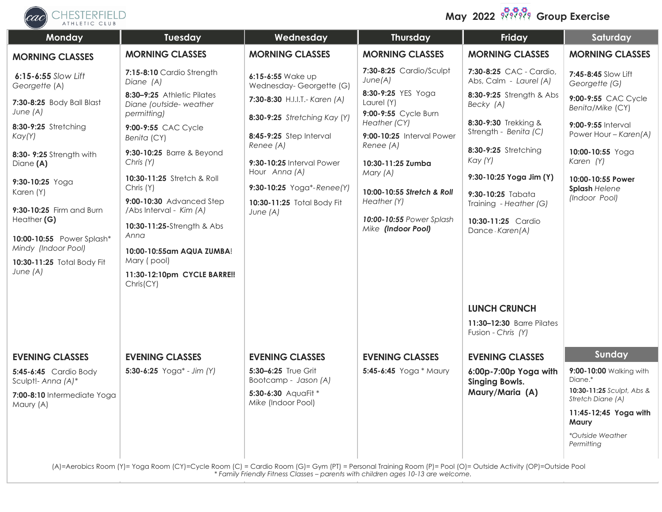

**May 2022 <b>Group** Group Exercise

| Monday                                           | Tuesday                                                                                                                                                               | Wednesday                                               | <b>Thursday</b>                                          | Friday                                            | Saturday                                       |
|--------------------------------------------------|-----------------------------------------------------------------------------------------------------------------------------------------------------------------------|---------------------------------------------------------|----------------------------------------------------------|---------------------------------------------------|------------------------------------------------|
| <b>MORNING CLASSES</b>                           | <b>MORNING CLASSES</b>                                                                                                                                                | <b>MORNING CLASSES</b>                                  | <b>MORNING CLASSES</b>                                   | <b>MORNING CLASSES</b>                            | <b>MORNING CLASSES</b>                         |
| 6:15-6:55 Slow Lift<br>Georgette (A)             | 7:15-8:10 Cardio Strength<br>Diane (A)                                                                                                                                | 6:15-6:55 Wake up<br>Wednesday-Georgette (G)            | 7:30-8:25 Cardio/Sculpt<br>June(A)                       | 7:30-8:25 CAC - Cardio,<br>Abs, Calm - Laurel (A) | 7:45-8:45 Slow Lift<br>Georgette (G)           |
| 7:30-8:25 Body Ball Blast<br>June $(A)$          | 8:30-9:25 Athletic Pilates<br>Diane (outside-weather<br>permitting)                                                                                                   | 7:30-8:30 H.I.I.T.- Karen (A)                           | 8:30-9:25 YES Yoga<br>Laurel (Y)<br>9:00-9:55 Cycle Burn | 8:30-9:25 Strength & Abs<br>Becky (A)             | 9:00-9:55 CAC Cycle<br>Benita/Mike (CY)        |
| 8:30-9:25 Stretching<br>Kay(Y)                   | 9:00-9:55 CAC Cycle<br>Benita (CY)                                                                                                                                    | 8:30-9:25 Stretching Kay (Y)<br>8:45-9:25 Step Interval | Heather (CY)<br>9:00-10:25 Interval Power                | 8:30-9:30 Trekking &<br>Strength - Benita (C)     | 9:00-9:55 Interval<br>Power Hour - Karen(A)    |
| 8:30- 9:25 Strength with<br>Diane (A)            | 9:30-10:25 Barre & Beyond<br>Chris (Y)                                                                                                                                | Renee (A)<br>9:30-10:25 Interval Power                  | Renee (A)<br>10:30-11:25 Zumba                           | 8:30-9:25 Stretching<br>Kay (Y)                   | 10:00-10:55 Yoga<br>Karen (Y)                  |
| 9:30-10:25 Yoga                                  | 10:30-11:25 Stretch & Roll                                                                                                                                            | Hour Anna (A)                                           | Mary (A)                                                 | 9:30-10:25 Yoga Jim (Y)                           | 10:00-10:55 Power                              |
| Karen (Y)                                        | Chris (Y)<br>9:00-10:30 Advanced Step                                                                                                                                 | 9:30-10:25 Yoga*-Renee(Y)<br>10:30-11:25 Total Body Fit | 10:00-10:55 Stretch & Roll<br>Heather (Y)                | 9:30-10:25 Tabata<br>Training - Heather (G)       | Splash Helene<br>(Indoor Pool)                 |
| 9:30-10:25 Firm and Burn<br>Heather (G)          | /Abs Interval - Kim (A)<br>10:30-11:25-Strength & Abs<br>Anna                                                                                                         | June (A)                                                | 10:00-10:55 Power Splash<br>Mike (Indoor Pool)           | 10:30-11:25 Cardio<br>Dance-Karen(A)              |                                                |
| 10:00-10:55 Power Splash*<br>Mindy (Indoor Pool) | 10:00-10:55am AQUA ZUMBA!<br>Mary (pool)                                                                                                                              |                                                         |                                                          |                                                   |                                                |
| 10:30-11:25 Total Body Fit<br>June (A)           | 11:30-12:10pm CYCLE BARRE!!<br>Chris(CY)                                                                                                                              |                                                         |                                                          |                                                   |                                                |
|                                                  |                                                                                                                                                                       |                                                         |                                                          | <b>LUNCH CRUNCH</b>                               |                                                |
|                                                  |                                                                                                                                                                       |                                                         |                                                          | 11:30-12:30 Barre Pilates<br>Fusion - Chris (Y)   |                                                |
| <b>EVENING CLASSES</b>                           | <b>EVENING CLASSES</b>                                                                                                                                                | <b>EVENING CLASSES</b>                                  | <b>EVENING CLASSES</b>                                   | <b>EVENING CLASSES</b>                            | Sunday                                         |
| 5:45-6:45 Cardio Body<br>Sculpt!- Anna (A)*      | $5:30-6:25$ Yoga* - Jim (Y)                                                                                                                                           | 5:30-6:25 True Grit<br>Bootcamp - Jason (A)             | 5:45-6:45 Yoga * Maury                                   | 6:00p-7:00p Yoga with<br><b>Singing Bowls.</b>    | 9:00-10:00 Walking with<br>Diane.*             |
| 7:00-8:10 Intermediate Yoga                      |                                                                                                                                                                       | 5:30-6:30 AquaFit *<br>Mike (Indoor Pool)               |                                                          | Maury/Maria (A)                                   | 10:30-11:25 Sculpt, Abs &<br>Stretch Diane (A) |
| Maury (A)                                        |                                                                                                                                                                       |                                                         |                                                          |                                                   | 11:45-12;45 Yoga with<br><b>Maury</b>          |
|                                                  |                                                                                                                                                                       |                                                         |                                                          |                                                   | *Outside Weather<br>Permitting                 |
|                                                  | (A) = Aerobics Room (Y) = Yoga Room (CY) = Cycle Room (C) = Cardio Room (G) = Gym (PI) = Personal Irgining Room (P) = Pool (O) = Outside Activity (OP) = Outside Pool |                                                         |                                                          |                                                   |                                                |

(A)=Aerobics Room (Y)= Yoga Room (CY)=Cycle Room (C) = Cardio Room (G)= Gym (PT) = Personal Training Room (P)= Pool (O)= Outside Activity (OP)=Outside Pool *\* Family Friendly Fitness Classes – parents with children ages 10-13 are welcome.*